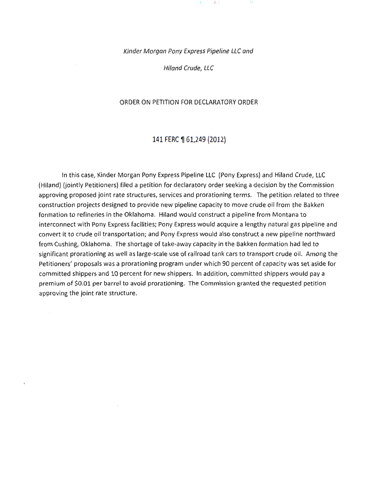Kinder Morgan Pony Express Pipeline LLC and

 $\parallel$  H  $\perp$ 

Hiland Crude, LLC

#### ORDER ON PETITION FOR DECLARATORY ORDER

#### 141 FERC ¶ 61,249 (2012)

In this case, Kinder Morgan Pony Express Pipeline LLC (Pony Express) and Hiland Crude, LLC (Hiland) (jointly Petitioners) filed a petition for declaratory order seeking a decision by the Commission approving proposed joint rate structures, services and prorationing terms. The petition related to three construction projects designed to provide new pipeline capacity to move crude oil from the Bakken formation to refineries in the Oklahoma. Hiland would construct a pipeline from Montana to interconnect with Pony Express facilities; Pony Express would acquire a lengthy natural gas pipeline and convert it to crude oil transportation; and Pony Express would also construct a new pipeline northward from Cushing, Oklahoma. The shortage of take-away capacity in the Bakken formation had led to significant prorationing as well as large-scale use of railroad tank cars to transport crude oil. Among the Petitioners' proposals was a prorationing program under which 90 percent of capacity was set aside for committed shippers and 10 percent for new shippers. In addition, committed shippers would pay a premium of \$0.01 per barrel to avoid prorationing. The Commission granted the requested petition approving the joint rate structure.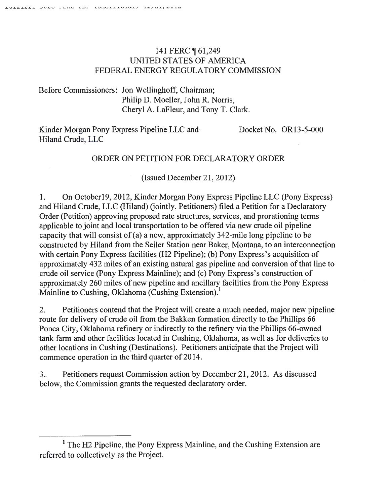# 141 FERC 161,249 UNITED STATES OF AMERICA FEDERAL ENERGY REGULATORY COMMISSION

Before Commissioners: Jon Wellinghoff, Chairman; Philip D. Moeller, John R. Norris, Cheryl A. LaFleur, and Tony T. Clark.

Kinder Morgan Pony Express Pipeline LLC and Hiland Crude, LLC

Docket No. OR13-5-000

## ORDER ON PETITION FOR DECLARATORY ORDER

(Issued December 21, 2012)

1. On October 19, 2012, Kinder Morgan Pony Express Pipeline LLC (Pony Express) and Hiland Crude, LLC (Hiland) (jointly, Petitioners) filed a Petition for a Declaratory Order (Petition) approving proposed rate structures, services, and prorationing terms applicable to joint and local transportation to be offered via new crude oil pipeline capacity that will consist of (a) a new, approximately 342-mile long pipeline to be constructed by Hiland from the Seiler Station near Baker, Montana, to an interconnection with certain Pony Express facilities (H2 Pipeline); (b) Pony Express's acquisition of approximately 432 miles of an existing natural gas pipeline and conversion of that line to crude oil service (Pony Express Mainline); and (c) Pony Express's construction of approximately 260 miles of new pipeline and ancillary facilities from the Pony Express Mainline to Cushing, Oklahoma (Cushing Extension).<sup>1</sup>

2. Petitioners contend that the Project will create a much needed, major new pipeline route for delivery of crude oil from the Bakken formation directly to the Phillips 66 Ponca City, Oklahoma refinery or indirectly to the refinery via the Phillips 66-owned tank farm and other facilities located in Cushing, Oklahoma, as well as for deliveries to other locations in Cushing (Destinations). Petitioners anticipate that the Project will commence operation in the third quarter of 2014.

3.. Petitioners request Commission action by December 21 , 2012. As discussed below, the Commission grants the requested declaratory order.

<sup>&</sup>lt;sup>1</sup> The H2 Pipeline, the Pony Express Mainline, and the Cushing Extension are referred to collectively as the Project.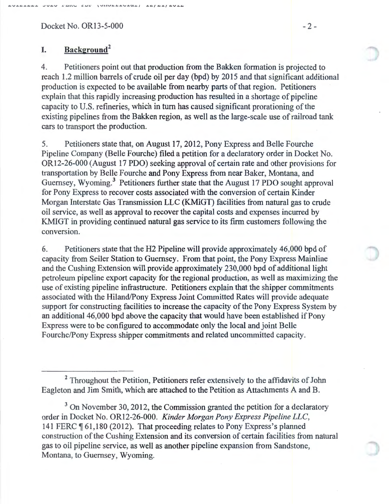$Docket No. OR13-5-000$  - 2 -

# **I. Background<sup>2</sup>**

4. Petitioners point out that production from the Bakken formation is projected to reach 1.2 million barrels of crude oil per day (bpd) by 2015 and that significant additional production is expected to be available from nearby parts of that region. Petitioners explain that this rapidly increasing production has resulted in a shortage of pipeline capacity to U.S. refineries, which in tum has caused significant prorationing of the existing pipelines from the Bakken region, as well as the large-scale use of railroad tank cars to transport the production.

5. Petitioners state that, on August 17, 2012, Pony Express and Belle Fourche Pipeline Company (Belle Fourche) filed a petition for a declaratory order in Docket No. OR12-26-000 (August 17 PDO) seeking approval of certain rate and other provisions for transportation by Belle Fourche and Pony Express from near Baker, Montana, and Guernsey, Wyoming.<sup>3</sup> Petitioners further state that the August 17 PDO sought approval for Pony Express to recover costs associated with the conversion of certain Kinder Morgan Interstate Gas Transmission LLC (KMIGT) facilities from natural gas to crude oil service, as well as approval to recover the capital costs and expenses incurred by KMIGT in providing continued natural gas service to its firm customers following the conversion.

6. Petitioners state that the H2 Pipeline will provide approximately 46,000 bpd of capacity from Seiler Station to Guernsey. From that point, the Pony Express Mainline and the Cushing Extension will provide approximately 230,000 bpd of additional light petroleum pipeline export capacity for the regional production, as well as maximizing the use of existing pipeline infrastructure. Petitioners explain that the shipper commitments associated with the Hiland/Pony Express Joint Committed Rates will provide adequate support for constructing facilities to increase the capacity of the Pony Express System by an additional 46,000 bpd above the capacity that would have been established if Pony Express were to be configured to accommodate only the local and joint Belle Fourche/Pony Express shipper commitments and related uncommitted capacity.

<sup>2</sup> Throughout the Petition, Petitioners refer extensively to the affidavits of John Eagleton and Jim Smith, which are attached to the Petition as Attachments A and B.

 $3$  On November 30, 2012, the Commission granted the petition for a declaratory order in Docket No. OR12-26-000. *Kinder Morgan Pony Express Pipeline LLC,*  141 FERC ¶ 61,180 (2012). That proceeding relates to Pony Express's planned construction of the Cushing Extension and its conversion of certain facilities from natural gas to oil pipeline service, as well as another pipeline expansion from Sandstone, Montana, to Guernsey, Wyoming.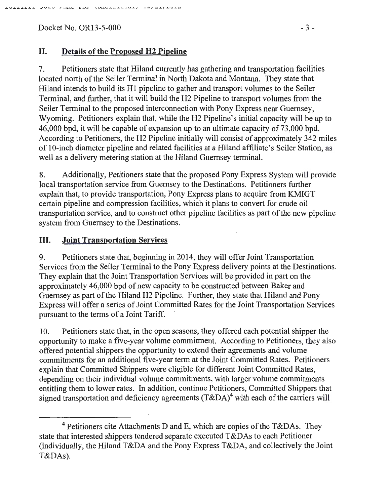Docket No. OR13-5-000 - 3 -

## II. Details of the Proposed H2 Pipeline

7. Petitioners state that Hiland currently has gathering and transportation facilities located north of the Seiler Terminal in North Dakota and Montana. They state that Hiland intends to build its Hl pipeline to gather and transport volumes to the Seiler Terminal, and further, that it will build the H2 Pipeline to transport volumes from the Seiler Terminal to the proposed interconnection with Pony Express near Guernsey, Wyoming. Petitioners explain that, while the H2 Pipeline's initial capacity will be up to 46,000 bpd, it will be capable of expansion up to an ultimate capacity of 73,000 bpd. According to Petitioners, the H2 Pipeline initially will consist of approximately 342 miles of 10-inch diameter pipeline and related facilities at a Hiland affiliate's Seiler Station, as well as a delivery metering station at the Hiland Guernsey terminal.

8. Additionally, Petitioners state that the proposed Pony Express System will provide local transportation service from Guernsey to the Destinations. Petitioners further explain that, to provide transportation, Pony Express plans to acquire from KMIGT certain pipeline and compression facilities, which it plans to convert for crude oil transportation service, and to construct other pipeline facilities as part of the new pipeline system from Guernsey to the Destinations.

### III. Joint Transportation Services

9. Petitioners state that, beginning in 2014, they will offer Joint Transportation Services from the Seiler Terminal to the Pony Express delivery points at the Destinations. They explain that the Joint Transportation Services will be provided in part on the approximately 46,000 bpd of new capacity to be constructed between Baker and Guernsey as part of the Hiland H2 Pipeline. Further, they state that Hiland and Pony Express will offer a series of Joint Committed Rates for the Joint Transportation Services pursuant to the terms of a Joint Tariff.

10. Petitioners state that, in the open seasons, they offered each potential shipper the opportunity to make a five-year volume commitment. According to Petitioners, they also offered potential shippers the opportunity to extend their agreements and volume commitments for an additional five-year term at the Joint Committed Rates. Petitioners explain that Committed Shippers were eligible for different Joint Committed Rates, depending on their individual volume commitments, with larger volume commitments entitling them to lower rates. In addition, continue Petitioners, Committed Shippers that signed transportation and deficiency agreements  $(T\&DA)^4$  with each of the carriers will

 $4$  Petitioners cite Attachments D and E, which are copies of the T&DAs. They state that interested shippers tendered separate executed T&DAs to each Petitioner (individually, the Hiland T&DA and the Pony Express T&DA, and collectively the Joint T&DAs).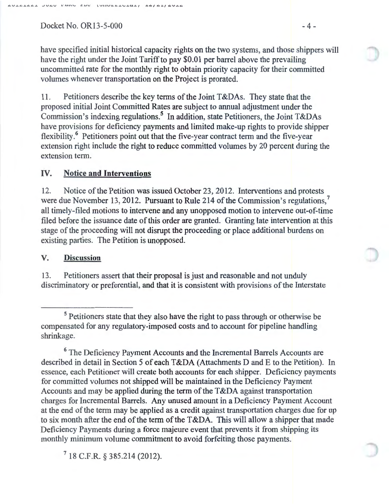$Docket No. OR13-5-000$  - 4 -

have specified initial historical capacity rights on the two systems, and those shippers will have the right under the Joint Tariff to pay \$0.01 per barrel above the prevailing uncommitted rate for the monthly right to obtain priority capacity for their committed volumes whenever transportation on the Project is prorated.

11. Petitioners describe the key terms of the Joint T&DAs. They state that the proposed initial Joint Committed Rates are subject to annual adjustment under the Commission's indexing regulations.<sup>5</sup> In addition, state Petitioners, the Joint T&DAs have provisions for deficiency payments and limited make-up rights to provide shipper flexibility.<sup>6</sup> Petitioners point out that the five-year contract term and the five-year extension right include the right to reduce committed volumes by 20 percent during the extension term.

### IV. **Notice and Interventions**

12. Notice of the Petition was issued October 23, 2012. Interventions and protests were due November 13, 2012. Pursuant to Rule 214 of the Commission's regulations.<sup>7</sup> all timely-filed motions to intervene and any unopposed motion to intervene out-of-time filed before the issuance date of this order are granted. Granting late intervention at this stage of the proceeding will not disrupt the proceeding or place additional burdens on existing parties. The Petition is unopposed.

#### **V. Discussion**

13. Petitioners assert that their proposal is just and reasonable and not unduly discriminatory or preferential, and that it is consistent with provisions of the Interstate

<sup>6</sup> The Deficiency Payment Accounts and the Incremental Barrels Accounts are described in detail in Section 5 of each T&DA (Attachments D and E to the Petition). In essence, each Petitioner will create both accounts for each shipper. Deficiency payments for committed volumes not shipped will be maintained in the Deficiency Payment Accounts and may be applied during the term of the  $T\&DA$  against transportation charges for Incremental Barrels. Any unused amount in a Deficiency Payment Account at the end of the term may be applied as a credit against transportation charges due for up to six month after the end of the term of the T&DA. This will allow a shipper that made Deficiency Payments during a force majeure event that prevents it from shipping its monthly minimum volume commitment to avoid forfeiting those payments.

7 18 C.F.R. § 385.214 (2012).

<sup>5</sup> Petitioners state that they also have the right to pass through or otherwise be compensated for any regulatory-imposed costs and to account for pipeline handling shrinkage.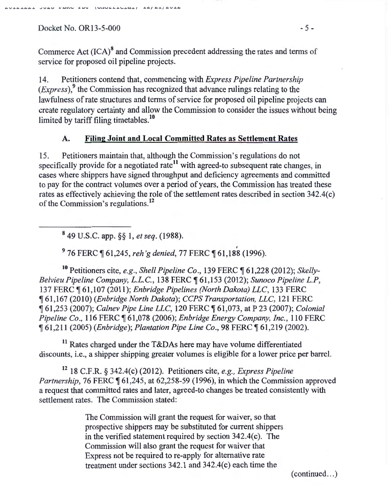AULALAAL JUAU FERD EDE (UNULLIDIAL) LA/AL/AULA

Commerce Act (ICA)<sup>8</sup> and Commission precedent addressing the rates and terms of service for proposed oil pipeline projects.

14. Petitioners contend that, commencing with *Express Pipeline Partnership*  (*Express*),<sup>9</sup> the Commission has recognized that advance rulings relating to the lawfulness of rate structures and terms of service for proposed oil pipeline projects can create regulatory certainty and allow the Commission to consider the issues without being limited by tariff filing timetables.<sup>10</sup>

# **A. Filing Joint and Local Committed Rates as Settlement Rates**

15. Petitioners maintain that, although the Commission's regulations do not specifically provide for a negotiated rate<sup>11</sup> with agreed-to subsequent rate changes, in cases where shippers have signed throughput and deficiency agreements and committed to pay for the contract volumes over a period of years, the Commission has treated these rates as effectively achieving the role of the settlement rates described in section 342.4(c) of the Commission's regulations.<sup>12</sup>

8 49 U.S.C. app. §§ 1, *et seq.* (1988).

<sup>9</sup> 76 FERC ¶ 61,245, *reh'g denied*, 77 FERC ¶ 61,188 (1996).

<sup>10</sup> Petitioners cite, *e.g., Shell Pipeline Co.,* 139 FERC ¶ 61,228 (2012); *Skelly-Belvieu Pipeline Company, L.L.C. ,* 138 FERC ~ 61,153 (2012); *Sunoco Pipeline L.P,*  137 FERC ~ 61 ,107 (2011); *Enbridge Pipelines (North Dakota) LLC,* 133 FERC <sup>~</sup>61,167 (2010) *(Enbridge North Dakota); CCPS Transportation, LLC,* 121 FERC <sup>~</sup>61 ,253 (2007); *Calnev Pipe Line LLC,* 120 FERC ~ 61,073, at P 23 (2007); *Colonial Pipeline Co.,* 116 FERC ~ 61,078 (2006); *Enbridge Energy Company, Inc.,* 110 FERC <sup>~</sup>61 ,2 11 (2005) *(Enbridge); Plantation Pipe Line Co.,* 98 FERC ~ 61 ,219 (2002).

 $11$  Rates charged under the T&DAs here may have volume differentiated discounts, i.e., a shipper shipping greater volumes is eligible for a lower price per barrel.

12 18 C.F.R. § 342.4(c) (2012). Petitioners cite, *e.g., Express Pipeline Partnership*, 76 FERC  $\P$  61,245, at 62,258-59 (1996), in which the Commission approved a request that committed rates and later, agreed-to changes be treated consistently with settlement rates. The Commission stated:

> The Commission will grant the request for waiver, so that prospective shippers may be substituted for current shippers in the verified statement required by section 342.4(c). The Commission will also grant the request for waiver that Express not be required to re-apply for alternative rate treatment under sections 342.1 and 342.4(c) each time the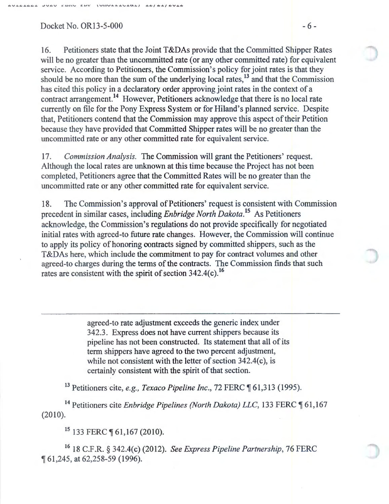$Docket No. OR13-5-000$  - 6 -

16. Petitioners state that the Joint T&DAs provide that the Committed Shipper Rates will be no greater than the uncommitted rate (or any other committed rate) for equivalent service. According to Petitioners, the Commission's policy for joint rates is that they should be no more than the sum of the underlying local rates,<sup>13</sup> and that the Commission has cited this policy in a declaratory order approving joint rates in the context of a contract arrangement.<sup>14</sup> However, Petitioners acknowledge that there is no local rate currently on file for the Pony Express System or for Hiland's planned service. Despite that, Petitioners contend that the Commission may approve this aspect of their Petition because they have provided that Committed Shipper rates will be no greater than the uncommitted rate or any other committed rate for equivalent service.

17. *Commission Analysis.* The Commission will grant the Petitioners' request. Although the local rates are unknown at this time because the Project has not been completed, Petitioners agree that the Committed Rates will be no greater than the uncommitted rate or any other committed rate for equivalent service.

18. The Commission's approval of Petitioners' request is consistent with Commission precedent in similar cases, including *Enbridge North Dakota*.<sup>15</sup> As Petitioners acknowledge, the Commission's regulations do not provide specifically for negotiated initial rates with agreed-to future rate changes. However, the Commission will continue to apply its policy of honoring oontracts signed by committed shippers, such as the T&DAs here, which include the commitment to pay for contract volumes and other agreed-to charges during the terms of the contracts. The Commission finds that such rates are consistent with the spirit of section  $342.4(c)$ .<sup>16</sup>

> agreed-to rate adjustment exceeds the generic index under 342.3. Express does not have current shippers because its pipeline has not been constructed. Its statement that all of its term shippers have agreed to the two percent adjustment, while not consistent with the letter of section  $342.4(c)$ , is certainly consistent with the spirit of that section.

<sup>13</sup> Petitioners cite, *e.g., Texaco Pipeline Inc.*, 72 FERC ¶ 61,313 (1995).

<sup>14</sup> Petitioners cite *Enbridge Pipelines (North Dakota) LLC*, 133 FERC 161,167 (2010).

<sup>15</sup> 133 FERC ¶ 61,167 (2010).

16 18 C.F.R. § 342.4(c) (2012). *See Express Pipeline Partnership,* 76 FERC ~ 61,245, at 62,258-59 (1996).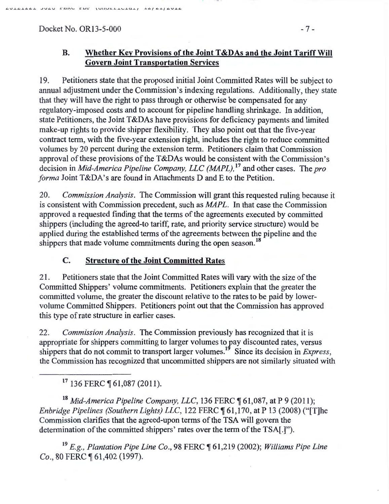AVIAIAAL JUAU PERU EDP (URULLIULEE) IA/AL/AVIA

19. Petitioners state that the proposed initial Joint Committed Rates will be subject to annual adjustment under the Commission's indexing regulations. Additionally, they state that they will have the right to pass through or otherwise be compensated for any regulatory-imposed costs and to account for pipeline handling shrinkage. In addition, state Petitioners, the Joint T&DAs have provisions for deficiency payments and limited make-up rights to provide shipper flexibility. They also point out that the five-year contract term, with the five-year extension right, includes the right to reduce committed volumes by 20 percent during the extension term. Petitioners claim that Commission approval of these provisions of the  $T\&DAs$  would be consistent with the Commission's decision in *Mid-America Pipeline Company, LLC (MAPL)*,<sup>17</sup> and other cases. The *pro forma* Joint T&DA's are found in Attachments D and E to the Petition.

20. *Commission Analysis.* The Commission will grant this requested ruling because it is consistent with Commission precedent, such as *MAPL.* In that case the Commission approved a requested finding that the terms of the agreements executed by committed shippers (including the agreed-to tariff, rate, and priority service structure) would be applied during the established terms of the agreements between the pipeline and the shippers that made volume commitments during the open season.<sup>18</sup>

# C. Structure of the Joint Committed Rates

21. Petitioners state that the Joint Committed Rates will vary with the size of the Committed Shippers' volume commitments. Petitioners explain that the greater the committed volume, the greater the discount relative to the rates to be paid by lowervolume Committed Shippers. Petitioners point out that the Commission has approved this type of rate structure in earlier cases.

22. *Commission Analysis.* The Commission previously has recognized that it is appropriate for shippers committing to larger volumes to fay discounted rates, versus shippers that do not commit to transport larger volumes.<sup>19</sup> Since its decision in *Express*, the Commission has recognized that uncommitted shippers are not similarly situated with

 $17136$  FERC  $\P$  61.087 (2011).

<sup>18</sup> Mid-America Pipeline Company, LLC, 136 FERC ¶ 61,087, at P 9 (2011); *Enbridge Pipelines (Southern Lights) LLC,* 122 FERC ¶ 61,170, at P 13 (2008) ("[T]he Commission clarifies that the agreed-upon terms of the TSA will govern the determination of the committed shippers' rates over the term of the TSA[.]").

<sup>19</sup> E.g., Plantation Pipe Line Co., 98 FERC ¶ 61,219 (2002); *Williams Pipe Line Co., 80 FERC ¶ 61,402 (1997).*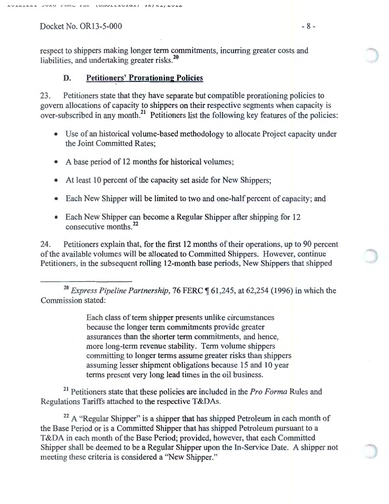Docket No. OR13-5-000  $-8$  -

respect to shippers making longer term commitments, incurring greater costs and liabilities, and undertaking greater risks.<sup>20</sup>

## D. Petitioners' Prorationing Policies

23. Petitioners state that they have separate but compatible prorationing policies to govern allocations of capacity to shippers on their respective segments when capacity is over-subscribed in any month.<sup>21</sup> Petitioners list the following key features of the policies:

- Use of an historical volume-based methodology to allocate Project capacity under the Joint Committed Rates;
- A base period of 12 months for historical volumes;
- At least 10 percent of the capacity set aside for New Shippers;
- Each New Shipper will be limited to two and one-half percent of capacity; and
- Each New Shipper can become a Regular Shipper after shipping for  $12$  consecutive months.<sup>22</sup>

24. Petitioners explain that, for the first 12 months of their operations, up to 90 percent of the available volumes will be allocated to Committed Shippers. However, continue Petitioners, in the subsequent rolling 12-month base periods, New Shippers that shipped

<sup>20</sup> Express Pipeline Partnership, 76 FERC ¶ 61,245, at 62,254 (1996) in which the Commission stated:

> Each class of term shipper presents unlike circumstances because the longer term commitments provide greater assurances than the shorter term commitments, and hence, more long-term revenue stability. Term volume shippers committing to longer terms assume greater risks than shippers assuming lesser shipment obligations because 15 and 10 year terms present very long lead times in the oil business.

<sup>21</sup> Petitioners state that these policies are included in the *Pro Forma* Rules and Regulations Tariffs attached to the respective T&DAs.

 $22$  A "Regular Shipper" is a shipper that has shipped Petroleum in each month of the Base Period or is a Committed Shipper that has shipped Petroleum pursuant to a T&DA in each month of the Base Period; provided, however, that each Committed Shipper shall be deemed to be a Regular Shipper upon the In-Service Date. A shipper not meeting these criteria is considered a "New Shipper."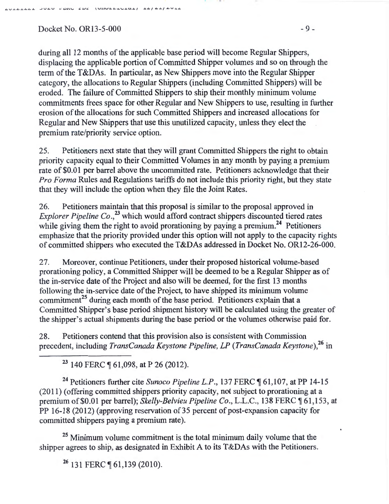$Docket No. OR13-5-000$  - 9 -

~V..&.~..L.~~..&. .JV U .L;.~l\.'- *s=.UJ,:* **\ <sup>U</sup> J. J. \.J .L.L.J- \..o .J-U..J- }** J-~ 1 ~.&. I ~v•w

during all 12 months of the applicable base period will become Regular Shippers, displacing the applicable portion of Committed Shipper volumes and so on through the term of the T&DAs. In particular, as New Shippers move into the Regular Shipper category, the allocations to Regular Shippers (including Committed Shippers) will be eroded. The failure of Committed Shippers to ship their monthly minimum volume commitments frees space for other Regular and New Shippers to use, resulting in further erosion of the allocations for such Committed Shippers and increased allocations for Regular and New Shippers that use this unutilized capacity, unless they elect the premium rate/priority service option.

25. Petitioners next state that they will grant Committed Shippers the right to obtain priority capacity equal to their Committed Volumes in any month by paying a premium rate of \$0.01 per barrel above the uncommitted rate. Petitioners acknowledge that their *Pro Forma* Rules and Regulations tariffs do not include this priority right, but they state that they will include the option when they file the Joint Rates.

26. Petitioners maintain that this proposal is similar to the proposal approved in *Explorer Pipeline Co.*<sup>23</sup> which would afford contract shippers discounted tiered rates while giving them the right to avoid prorationing by paying a premium.<sup>24</sup> Petitioners emphasize that the priority provided under this option will not apply to the capacity rights of committed shippers who executed the T&DAs addressed in Docket No. OR12-26-000.

27. Moreover, continue Petitioners, under their proposed historical volume-based prorationing policy, a Committed Shipper will be deemed to be a Regular Shipper as of the in-service date of the Project and also will be deemed, for the first 13 months following the in-service date of the Project, to have shipped its minimum volume commitment<sup>25</sup> during each month of the base period. Petitioners explain that a Committed Shipper's base period shipment history will be calculated using the greater of the shipper's actual shipments during the base period or the volumes otherwise paid for.

28. Petitioners contend that this provision also is consistent with Commission precedent, including *TransCanada Keystone Pipeline, LP (TransCanada Keystone),<sup>26</sup>*in

 $23$  140 FERC  $\P$  61,098, at P 26 (2012).

<sup>24</sup> Petitioners further cite *Sunoco Pipeline L.P.*, 137 FERC ¶ 61,107, at PP 14-15 (20 11) (offering committed shippers priority capacity, not subject to prorationing at a premium of \$0.01 per barrel); *Skelly-Belvieu Pipeline Co.*, L.L.C., 138 FERC 161,153, at PP 16-18 (2012) (approving reservation of 35 percent of post-expansion capacity for committed shippers paying a premium rate).

<sup>25</sup> Minimum volume commitment is the total minimum daily volume that the shipper agrees to ship, as designated in Exhibit A to its T&DAs with the Petitioners.

<sup>26</sup> 131 FERC ¶ 61,139 (2010).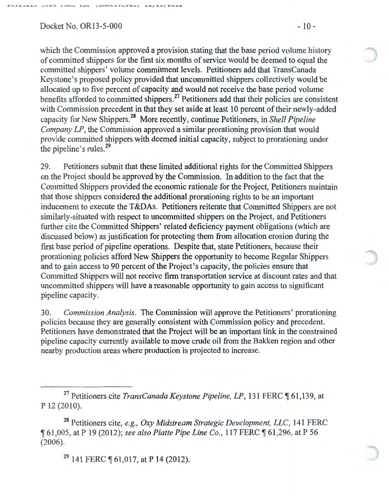$Docket No. OR13-5-000$  - 10 -

which the Commission approved a provision stating that the base period volume history of committed shippers for the first six months of service would be deemed to equal the committed shippers' volume commitment levels. Petitioners add that TransCanada Keystone's proposed policy provided that uncommitted shippers collectively would be allocated up to five percent of capacity and would not receive the base period volume benefits afforded to committed shippers.<sup>27</sup> Petitioners add that their policies are consistent with Commission precedent in that they set aside at least 10 percent of their newly-added capacity for New Shippers.<sup>28</sup> More recently, continue Petitioners, in *Shell Pipeline Company LP*, the Commission approved a similar prorationing provision that would provide committed shippers with deemed initial capacity, subject to prorationing under the pipeline's rules.<sup>29</sup>

29. Petitioners submit that these limited additional rights for the Committed Shippers on the Project should be approved by the Commission. In addition to the fact that the Committed Shippers provided the economic rationale for the Project, Petitioners maintain that those shippers considered the additional prorationing rights to be an important inducement to execute the T&DAs. Petitioners reiterate that Committed Shippers are not similarly-situated with respect to uncommitted shippers on the Project, and Petitioners further cite the Committed Shippers' related deficiency payment obligations (which are discussed below) as justification for protecting them from allocation erosion during the first base period of pipeline operations. Despite that, state Petitioners, because their prorationing policies afford New Shippers the opportunity to become Regular Shippers and to gain access to 90 percent of the Project's capacity, the policies ensure that Committed Shippers will not receive firm transportation service at discount rates and that uncommitted shippers will have a reasonable opportunity to gain access to significant pipeline capacity.

30. *Commission Analysis.* The Commission will approve the Petitioners' prorationing policies because they are generally consistent with Commission policy and precedent. Petitioners have demonstrated that the Project will be an important link in the constrained pipeline capacity currently available to move crude oil from the Bakken region and other nearby production areas where production is projected to increase.

 $29$  141 FERC  $\P$  61,017, at P 14 (2012).

<sup>&</sup>lt;sup>27</sup> Petitioners cite *TransCanada Keystone Pipeline, LP*, 131 FERC ¶ 61,139, at p 12 (2010).

<sup>&</sup>lt;sup>28</sup> Petitioners cite, *e.g., Oxy Midstream Strategic Development, LLC*, 141 FERC <sup>~</sup>61,005, at P 19 (2012); *see also Platte Pipe Line Co.,* 117 PERC~ 61,296, at P 56 (2006).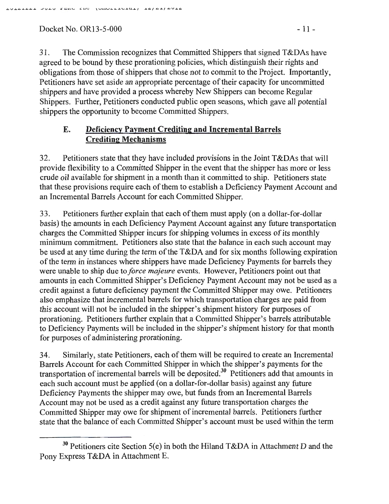Docket No. OR13-5-000 - 11 -

31. The Commission recognizes that Committed Shippers that signed T&DAs have agreed to be bound by these prorationing policies, which distinguish their rights and obligations from those of shippers that chose not to commit to the Project. Importantly, Petitioners have set aside an appropriate percentage of their capacity for uncommitted shippers and have provided a process whereby New Shippers can become Regular Shippers. Further, Petitioners conducted public open seasons, which gave all potential shippers the opportunity to become Committed Shippers.

# E. Deficiency Payment Crediting and Incremental Barrels Crediting Mechanisms

32. Petitioners state that they have included provisions in the Joint T&DAs that will provide flexibility to a Committed Shipper in the event that the shipper has more or less crude oil available for shipment in a month than it committed to ship. Petitioners state that these provisions require each of them to establish a Deficiency Payment Account and an Incremental Barrels Account for each Committed Shipper.

33. Petitioners further explain that each ofthem must apply (on a dollar-for-dollar basis) the amounts in each Deficiency Payment Account against any future transportation charges the Committed Shipper incurs for shipping volumes in excess of its monthly minimum commitment. Petitioners also state that the balance in each such account may be used at any time during the term of the T&DA and for six months following expiration of the term in instances where shippers have made Deficiency Payments for barrels they were unable to ship due to *force majeure* events. However, Petitioners point out that amounts in each Committed Shipper's Deficiency Payment Account may not be used as a credit against a future deficiency payment the Committed Shipper may owe. Petitioners also emphasize that incremental barrels for which transportation charges are paid from this account will not be included in the shipper's shipment history for purposes of prorationing. Petitioners further explain that a Committed Shipper's barrels attributable to Deficiency Payments will be included in the shipper's shipment history for that month for purposes of administering prorationing.

34. Similarly, state Petitioners, each of them will be required to create an Incremental Barrels Account for each Committed Shipper in which the shipper's payments for the transportation of incremental barrels will be deposited.<sup>30</sup> Petitioners add that amounts in each such account must be applied (on a dollar-for-dollar basis) against any future Deficiency Payments the shipper may owe, but funds from an Incremental Barrels Account may not be used as a credit against any future transportation charges the Committed Shipper may owe for shipment of incremental barrels. Petitioners further state that the balance of each Committed Shipper's account must be used within the term

 $30$  Petitioners cite Section 5(e) in both the Hiland T&DA in Attachment D and the Pony Express T&DA in Attachment E.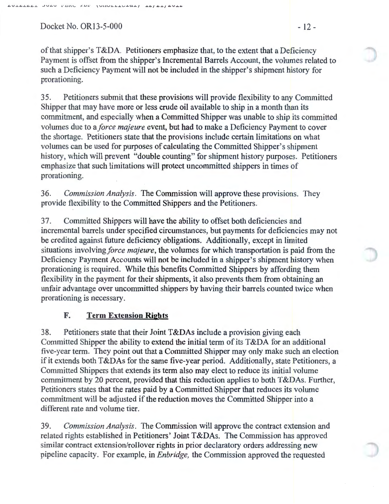Docket No. OR13-5-000 - 12 -

of that shipper's T&DA. Petitioners emphasize that, to the extent that a Deficiency Payment is offset from the shipper's Incremental Barrels Account, the volumes related to such a Deficiency Payment will not be included in the shipper's shipment history for prorationing.

35. Petitioners submit that these provisions will provide flexibility to any Committed Shipper that may have more or less crude oil available to ship in a month than its commitment, and especially when a Committed Shipper was unable to ship its committed volumes due to a *force majeure* event, but had to make a Deficiency Payment to cover the shortage. Petitioners state that the provisions include certain limitations on what volumes can be used for purposes of calculating the Committed Shipper's shipment history, which will prevent "double counting" for shipment history purposes. Petitioners emphasize that such limitations will protect uncommitted shippers in times of prorationing.

36. *Commission Analysis.* The Commission will approve these provisions. They provide flexibility to the Committed Shippers and the Petitioners.

37. Committed Shippers will have the ability to offset both deficiencies and incremental barrels under specified circumstances, but payments for deficiencies may not be credited against future deficiency obligations. Additionally, except in limited situations involving *force majeure*, the volumes for which transportation is paid from the Deficiency Payment Accounts will not be included in a shipper's shipment history when prorationing is required. While this benefits Committed Shippers by affording them flexibility in the payment for their shipments, it also prevents them from obtaining an unfair advantage over uncommitted shippers by having their barrels counted twice when prorationing is necessary.

### **F. Term Extension Rights**

38. Petitioners state that their Joint T&DAs include a provision giving each Committed Shipper the ability to extend the initial term of its T&DA for an additional five-year term. They point out that a Committed Shipper may only make such an election if it extends both T&DAs for the same five-year period. Additionally, state Petitioners, a Committed Shippers that extends its term also may elect to reduce its initial volume commitment by 20 percent, provided that this reduction applies to both T&DAs. Further, Petitioners states that the rates paid by a Committed Shipper that reduces its volume commitment will be adjusted if the reduction moves the Committed Shipper into a different rate and volume tier.

39. *Commission Analysis.* The Commission will approve the contract extension and related rights established in Petitioners' Joint T&DAs. The Commission has approved similar contract extension/rollover rights in prior declaratory orders addressing new pipeline capacity. For example, in *Enbridge,* the Commission approved the requested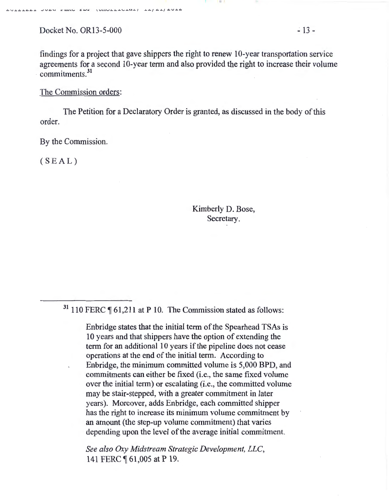Docket No. OR13-5-000 .: 13-

AVIALAL JUAO PENG EDE (UNULLIGIA) IA/AI/AULA

findings for a project that gave shippers the right to renew  $10$ -year transportation service agreements for a second 10-year term and also provided the right to increase their volume commitments.<sup>31</sup>

The Commission orders:

The Petition for a Declaratory Order is granted, as discussed in the body of this order.

By the Commission.

 $(SEAL)$ 

Kimberly D. Bose, Secretary.

 $31$  110 FERC  $\P$  61,211 at P 10. The Commission stated as follows:

Enbridge states that the initial term of the Spearhead TSAs is 10 years and that shippers have the option of extending the term for an additional 10 years if the pipeline does not cease operations at the end of the initial term. According to Enbridge, the minimum committed volume is 5,000 BPD, and commitments can either be fixed (i.e., the same fixed volume over the initial term) or escalating (i.e., the committed volume may be stair-stepped, with a greater commitment in later years). Moreover, adds Enbridge, each committed shipper has the right to increase its minimum volume commitment by an amount (the step-up volume commitment) that varies depending upon the level of the average initial commitment.

*See also* Oxy *Midstream Strategic Development, LLC,*  141 FERC 161,005 at P 19.